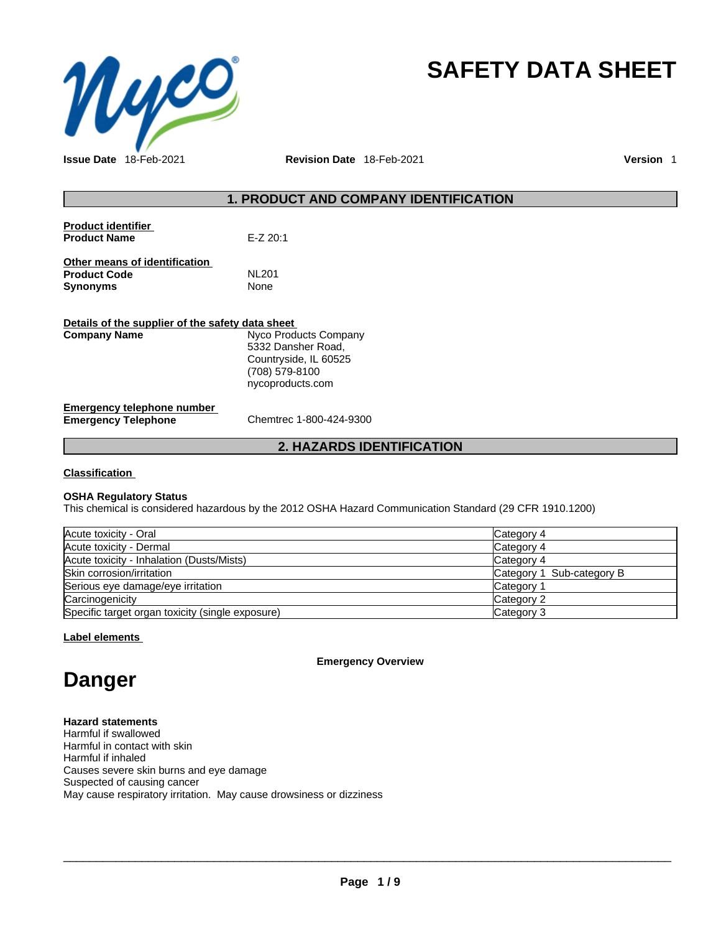

# **SAFETY DATA SHEET**

**Issue Date** 18-Feb-2021 **Revision Date** 18-Feb-2021 **Version** 1

# **1. PRODUCT AND COMPANY IDENTIFICATION**

| $E-Z 20:1$ |
|------------|
| NL 201     |
| None       |
|            |
|            |

| Details of the supplier of the safety data sheet         |                                                                                                            |  |
|----------------------------------------------------------|------------------------------------------------------------------------------------------------------------|--|
| <b>Company Name</b>                                      | Nyco Products Company<br>5332 Dansher Road,<br>Countryside, IL 60525<br>(708) 579-8100<br>nycoproducts.com |  |
| Emergency telephone number<br><b>Emergency Telephone</b> | Chemtrec 1-800-424-9300                                                                                    |  |

# **2. HAZARDS IDENTIFICATION**

# **Classification**

# **OSHA Regulatory Status**

This chemical is considered hazardous by the 2012 OSHA Hazard Communication Standard (29 CFR 1910.1200)

| Acute toxicity - Oral                            | Category 4                |
|--------------------------------------------------|---------------------------|
| Acute toxicity - Dermal                          | Category 4                |
| Acute toxicity - Inhalation (Dusts/Mists)        | Category 4                |
| Skin corrosion/irritation                        | Category 1 Sub-category B |
| Serious eye damage/eye irritation                | Category 1                |
| Carcinogenicity                                  | Category 2                |
| Specific target organ toxicity (single exposure) | Category 3                |

# **Label elements**

**Emergency Overview** 

# **Danger**

# **Hazard statements**

Harmful if swallowed Harmful in contact with skin Harmful if inhaled Causes severe skin burns and eye damage Suspected of causing cancer May cause respiratory irritation. May cause drowsiness or dizziness

 $\_$  ,  $\_$  ,  $\_$  ,  $\_$  ,  $\_$  ,  $\_$  ,  $\_$  ,  $\_$  ,  $\_$  ,  $\_$  ,  $\_$  ,  $\_$  ,  $\_$  ,  $\_$  ,  $\_$  ,  $\_$  ,  $\_$  ,  $\_$  ,  $\_$  ,  $\_$  ,  $\_$  ,  $\_$  ,  $\_$  ,  $\_$  ,  $\_$  ,  $\_$  ,  $\_$  ,  $\_$  ,  $\_$  ,  $\_$  ,  $\_$  ,  $\_$  ,  $\_$  ,  $\_$  ,  $\_$  ,  $\_$  ,  $\_$  ,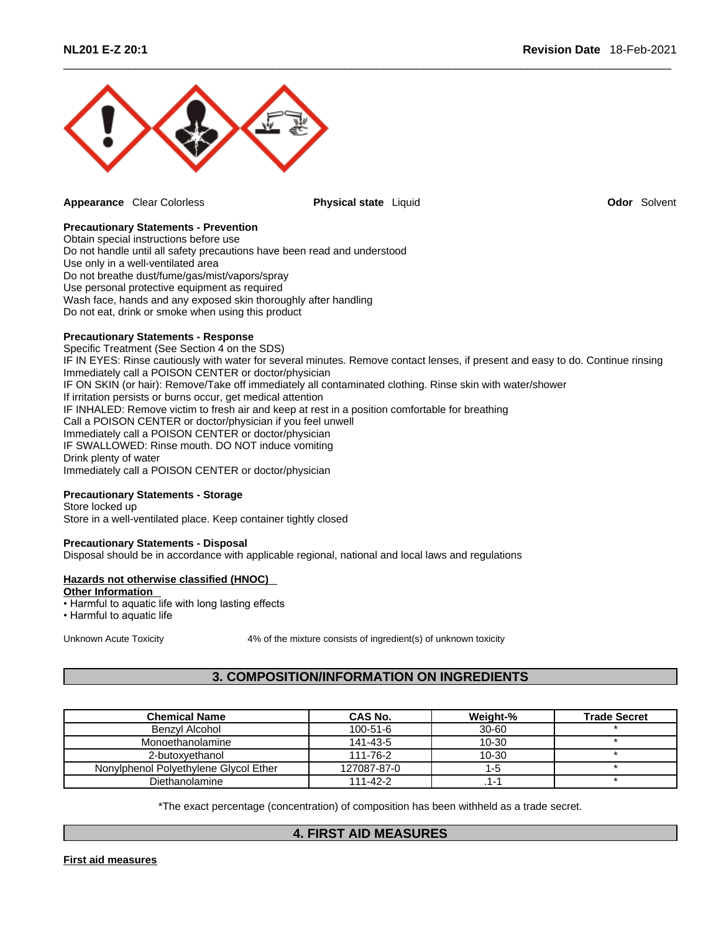

**Appearance** Clear Colorless **Physical state** Liquid **Odor** Solvent

# **Precautionary Statements - Prevention**

Obtain special instructions before use Do not handle until all safety precautions have been read and understood Use only in a well-ventilated area Do not breathe dust/fume/gas/mist/vapors/spray Use personal protective equipment as required Wash face, hands and any exposed skin thoroughly after handling Do not eat, drink or smoke when using this product

# **Precautionary Statements - Response**

Specific Treatment (See Section 4 on the SDS) IF IN EYES: Rinse cautiously with water for several minutes. Remove contact lenses, if present and easy to do. Continue rinsing Immediately call a POISON CENTER or doctor/physician IF ON SKIN (or hair): Remove/Take off immediately all contaminated clothing. Rinse skin with water/shower If irritation persists or burns occur, get medical attention IF INHALED: Remove victim to fresh air and keep at rest in a position comfortable for breathing Call a POISON CENTER or doctor/physician if you feel unwell Immediately call a POISON CENTER or doctor/physician IF SWALLOWED: Rinse mouth. DO NOT induce vomiting Drink plenty of water Immediately call a POISON CENTER or doctor/physician

# **Precautionary Statements - Storage**

Store locked up Store in a well-ventilated place. Keep container tightly closed

# **Precautionary Statements - Disposal**

Disposal should be in accordance with applicable regional, national and local laws and regulations

# **Hazards not otherwise classified (HNOC)**

**Other Information** 

• Harmful to aquatic life with long lasting effects

• Harmful to aquatic life

Unknown Acute Toxicity **4% of the mixture consists of ingredient(s)** of unknown toxicity

# **3. COMPOSITION/INFORMATION ON INGREDIENTS**

| <b>Chemical Name</b>                  | <b>CAS No.</b> | Weight-%  | <b>Trade Secret</b> |
|---------------------------------------|----------------|-----------|---------------------|
| Benzvl Alcohol                        | $100 - 51 - 6$ | 30-60     |                     |
| Monoethanolamine                      | 141-43-5       | $10 - 30$ |                     |
| 2-butoxvethanol                       | 111-76-2       | $10 - 30$ |                     |
| Nonylphenol Polyethylene Glycol Ether | 127087-87-0    | 1-5       |                     |
| Diethanolamine                        | 111-42-2       | .1-7      |                     |

\*The exact percentage (concentration) of composition has been withheld as a trade secret.

# **4. FIRST AID MEASURES**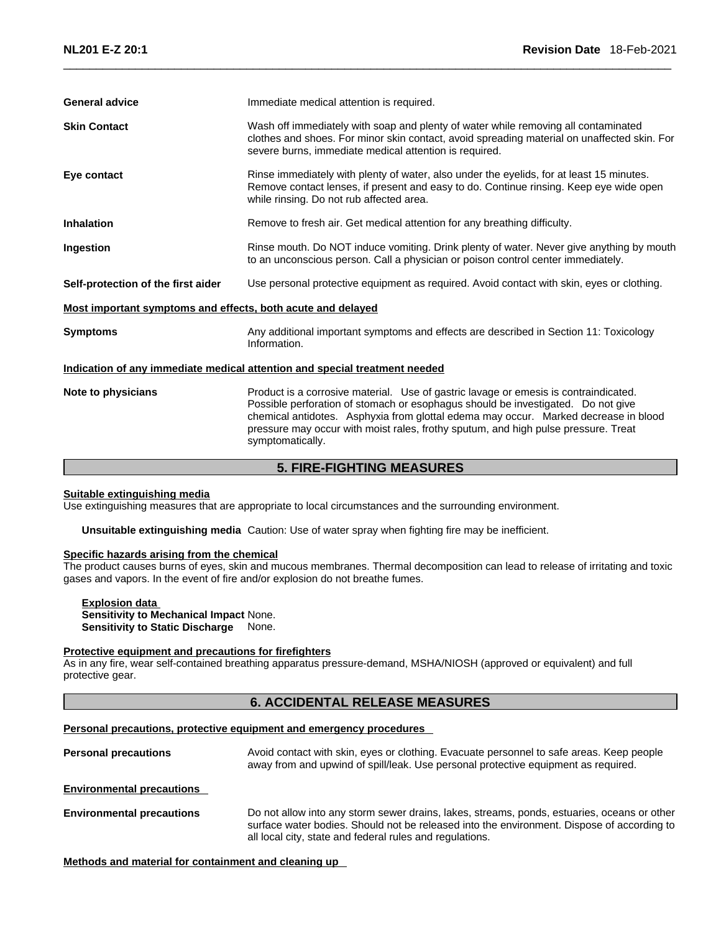|                                                             | <b>5. FIRE-FIGHTING MEASURES</b>                                                                                                                                                                                                                                                                                                                                          |
|-------------------------------------------------------------|---------------------------------------------------------------------------------------------------------------------------------------------------------------------------------------------------------------------------------------------------------------------------------------------------------------------------------------------------------------------------|
| Note to physicians                                          | Product is a corrosive material. Use of gastric lavage or emesis is contraindicated.<br>Possible perforation of stomach or esophagus should be investigated. Do not give<br>chemical antidotes. Asphyxia from glottal edema may occur. Marked decrease in blood<br>pressure may occur with moist rales, frothy sputum, and high pulse pressure. Treat<br>symptomatically. |
|                                                             | Indication of any immediate medical attention and special treatment needed                                                                                                                                                                                                                                                                                                |
| <b>Symptoms</b>                                             | Any additional important symptoms and effects are described in Section 11: Toxicology<br>Information.                                                                                                                                                                                                                                                                     |
| Most important symptoms and effects, both acute and delayed |                                                                                                                                                                                                                                                                                                                                                                           |
| Self-protection of the first aider                          | Use personal protective equipment as required. Avoid contact with skin, eyes or clothing.                                                                                                                                                                                                                                                                                 |
| Ingestion                                                   | Rinse mouth. Do NOT induce vomiting. Drink plenty of water. Never give anything by mouth<br>to an unconscious person. Call a physician or poison control center immediately.                                                                                                                                                                                              |
| <b>Inhalation</b>                                           | Remove to fresh air. Get medical attention for any breathing difficulty.                                                                                                                                                                                                                                                                                                  |
| Eye contact                                                 | Rinse immediately with plenty of water, also under the eyelids, for at least 15 minutes.<br>Remove contact lenses, if present and easy to do. Continue rinsing. Keep eye wide open<br>while rinsing. Do not rub affected area.                                                                                                                                            |
| <b>Skin Contact</b>                                         | Wash off immediately with soap and plenty of water while removing all contaminated<br>clothes and shoes. For minor skin contact, avoid spreading material on unaffected skin. For<br>severe burns, immediate medical attention is required.                                                                                                                               |
| <b>General advice</b>                                       | Immediate medical attention is required.                                                                                                                                                                                                                                                                                                                                  |
|                                                             |                                                                                                                                                                                                                                                                                                                                                                           |

#### **Suitable extinguishing media**

Use extinguishing measures that are appropriate to local circumstances and the surrounding environment.

**Unsuitable extinguishing media** Caution: Use of water spray when fighting fire may be inefficient.

# **Specific hazards arising from the chemical**

The product causes burns of eyes, skin and mucous membranes. Thermal decomposition can lead to release of irritating and toxic gases and vapors. In the event of fire and/or explosion do not breathe fumes.

# **Explosion data**

**Sensitivity to Mechanical Impact** None. **Sensitivity to Static Discharge** None.

#### **Protective equipment and precautions for firefighters**

As in any fire, wear self-contained breathing apparatus pressure-demand, MSHA/NIOSH (approved or equivalent) and full protective gear.

# **6. ACCIDENTAL RELEASE MEASURES**

### **Personal precautions, protective equipment and emergency procedures**

**Personal precautions** Avoid contact with skin, eyes or clothing. Evacuate personnel to safe areas. Keep people away from and upwind of spill/leak. Use personal protective equipment as required.

**Environmental precautions** 

**Environmental precautions** Do not allow into any storm sewer drains, lakes, streams, ponds, estuaries, oceans or other surface water bodies. Should not be released into the environment. Dispose of according to all local city, state and federal rules and regulations.

# **Methods and material for containment and cleaning up**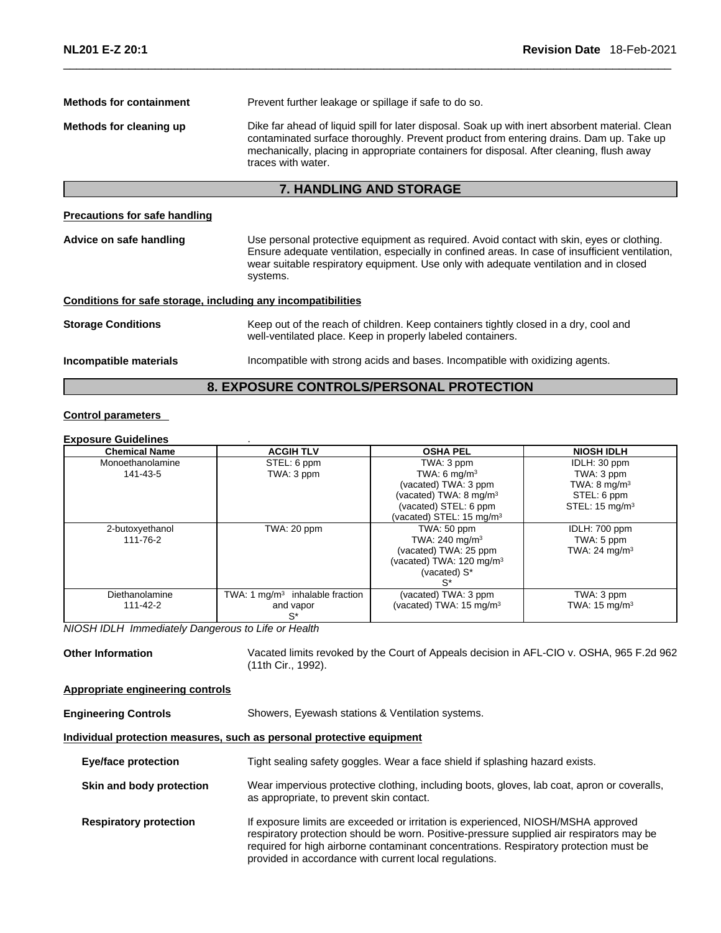| <b>Methods for containment</b>                               | Prevent further leakage or spillage if safe to do so.                                                                                                                                                                                                                                                       |
|--------------------------------------------------------------|-------------------------------------------------------------------------------------------------------------------------------------------------------------------------------------------------------------------------------------------------------------------------------------------------------------|
| Methods for cleaning up                                      | Dike far ahead of liquid spill for later disposal. Soak up with inert absorbent material. Clean<br>contaminated surface thoroughly. Prevent product from entering drains. Dam up. Take up<br>mechanically, placing in appropriate containers for disposal. After cleaning, flush away<br>traces with water. |
|                                                              | <b>7. HANDLING AND STORAGE</b>                                                                                                                                                                                                                                                                              |
| <b>Precautions for safe handling</b>                         |                                                                                                                                                                                                                                                                                                             |
| Advice on safe handling                                      | Use personal protective equipment as required. Avoid contact with skin, eyes or clothing.<br>Ensure adequate ventilation, especially in confined areas. In case of insufficient ventilation,<br>wear suitable respiratory equipment. Use only with adequate ventilation and in closed<br>systems.           |
| Conditions for safe storage, including any incompatibilities |                                                                                                                                                                                                                                                                                                             |
| <b>Storage Conditions</b>                                    | Keep out of the reach of children. Keep containers tightly closed in a dry, cool and<br>well-ventilated place. Keep in properly labeled containers.                                                                                                                                                         |
| Incompatible materials                                       | Incompatible with strong acids and bases. Incompatible with oxidizing agents.                                                                                                                                                                                                                               |
|                                                              | <b>8. EXPOSURE CONTROLS/PERSONAL PROTECTION</b>                                                                                                                                                                                                                                                             |

# **Control parameters**

#### **Exposure Guidelines** .

| <b>Chemical Name</b> | <b>ACGIH TLV</b>                  | <b>OSHA PEL</b>                      | <b>NIOSH IDLH</b>         |
|----------------------|-----------------------------------|--------------------------------------|---------------------------|
| Monoethanolamine     | STEL: 6 ppm                       | TWA: 3 ppm                           | IDLH: 30 ppm              |
| 141-43-5             | TWA: 3 ppm                        | TWA: 6 $mq/m3$                       | TWA: 3 ppm                |
|                      |                                   | (vacated) TWA: 3 ppm                 | TWA: $8 \text{ mg/m}^3$   |
|                      |                                   | (vacated) TWA: 8 mg/m <sup>3</sup>   | STEL: 6 ppm               |
|                      |                                   | (vacated) STEL: 6 ppm                | STEL: $15 \text{ mg/m}^3$ |
|                      |                                   | (vacated) STEL: 15 mg/m <sup>3</sup> |                           |
| 2-butoxyethanol      | TWA: 20 ppm                       | TWA: 50 ppm                          | IDLH: 700 ppm             |
| 111-76-2             |                                   | TWA: $240$ mg/m <sup>3</sup>         | TWA: 5 ppm                |
|                      |                                   | (vacated) TWA: 25 ppm                | TWA: 24 $mq/m3$           |
|                      |                                   | (vacated) TWA: 120 mg/m <sup>3</sup> |                           |
|                      |                                   | (vacated) S*                         |                           |
|                      |                                   | S*                                   |                           |
| Diethanolamine       | TWA: 1 $mq/m3$ inhalable fraction | (vacated) TWA: 3 ppm                 | TWA: 3 ppm                |
| 111-42-2             | and vapor                         | (vacated) TWA: 15 mg/m <sup>3</sup>  | TWA: $15 \text{ mg/m}^3$  |
|                      | $S^*$                             |                                      |                           |

*NIOSH IDLH Immediately Dangerous to Life or Health* 

Other Information **Vacated limits revoked by the Court of Appeals decision in AFL-CIO v. OSHA, 965 F.2d 962** (11th Cir., 1992).

# **Appropriate engineering controls**

**Engineering Controls** Showers, Eyewash stations & Ventilation systems.

# **Individual protection measures, such as personal protective equipment**

| <b>Eye/face protection</b>    | Tight sealing safety goggles. Wear a face shield if splashing hazard exists.                                                                                                                                                                                                                                                     |
|-------------------------------|----------------------------------------------------------------------------------------------------------------------------------------------------------------------------------------------------------------------------------------------------------------------------------------------------------------------------------|
| Skin and body protection      | Wear impervious protective clothing, including boots, gloves, lab coat, apron or coveralls,<br>as appropriate, to prevent skin contact.                                                                                                                                                                                          |
| <b>Respiratory protection</b> | If exposure limits are exceeded or irritation is experienced, NIOSH/MSHA approved<br>respiratory protection should be worn. Positive-pressure supplied air respirators may be<br>required for high airborne contaminant concentrations. Respiratory protection must be<br>provided in accordance with current local regulations. |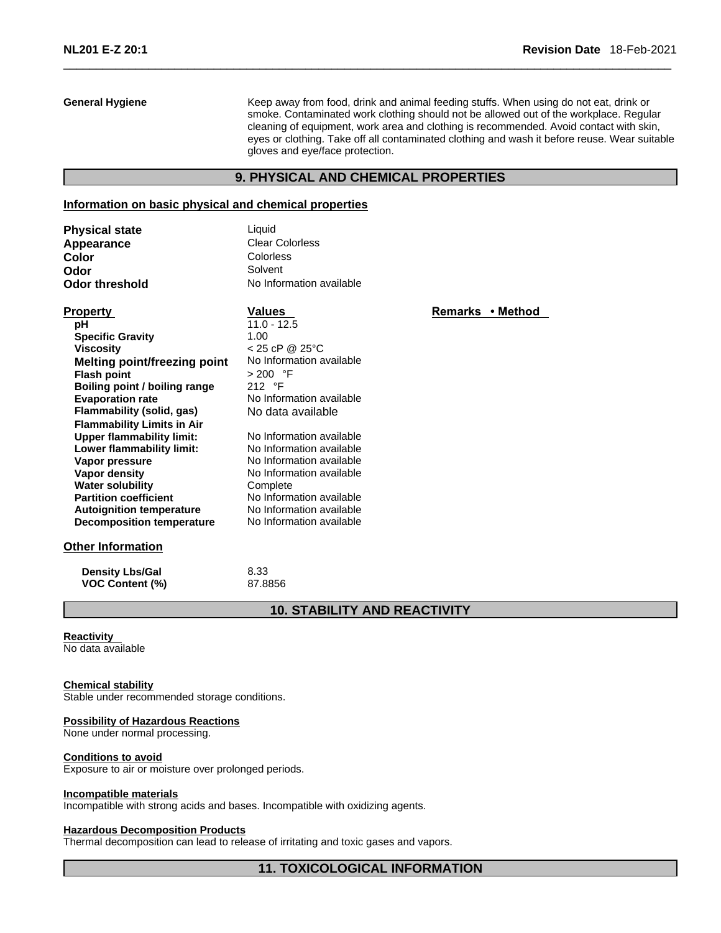**General Hygiene** Keep away from food, drink and animal feeding stuffs. When using do not eat, drink or smoke. Contaminated work clothing should not be allowed out of the workplace. Regular cleaning of equipment, work area and clothing is recommended. Avoid contact with skin, eyes or clothing. Take off all contaminated clothing and wash it before reuse. Wear suitable gloves and eye/face protection.

# **9. PHYSICAL AND CHEMICAL PROPERTIES**

### **Information on basic physical and chemical properties**

| <b>Physical state</b> | Liquid                   |
|-----------------------|--------------------------|
| Appearance            | <b>Clear Colorless</b>   |
| Color                 | Colorless                |
| Odor                  | Solvent                  |
| Odor threshold        | No Information available |

| . <b>.</b>                          | . aiuvo                  | טיו ושוועט |
|-------------------------------------|--------------------------|------------|
| рH                                  | 11.0 - 12.5              |            |
| <b>Specific Gravity</b>             | 1.00                     |            |
| <b>Viscosity</b>                    | $< 25$ cP @ 25°C         |            |
| <b>Melting point/freezing point</b> | No Information available |            |
| <b>Flash point</b>                  | > 200 °F                 |            |
| Boiling point / boiling range       | 212 $\degree$ F          |            |
| <b>Evaporation rate</b>             | No Information available |            |
| Flammability (solid, gas)           | No data available        |            |
| <b>Flammability Limits in Air</b>   |                          |            |
| Upper flammability limit:           | No Information available |            |
| Lower flammability limit:           | No Information available |            |
| Vapor pressure                      | No Information available |            |
| Vapor density                       | No Information available |            |
| <b>Water solubility</b>             | Complete                 |            |
| <b>Partition coefficient</b>        | No Information available |            |
| <b>Autoignition temperature</b>     | No Information available |            |
| <b>Decomposition temperature</b>    | No Information available |            |

# **Other Information**

| <b>Density Lbs/Gal</b> | 8.33 |
|------------------------|------|

**VOC Content (%)** 87.8856

# **10. STABILITY AND REACTIVITY**

#### **Reactivity**

No data available

#### **Chemical stability**

Stable under recommended storage conditions.

#### **Possibility of Hazardous Reactions**

None under normal processing.

#### **Conditions to avoid**

Exposure to air or moisture over prolonged periods.

#### **Incompatible materials**

Incompatible with strong acids and bases. Incompatible with oxidizing agents.

# **Hazardous Decomposition Products**

Thermal decomposition can lead to release of irritating and toxic gases and vapors.

# **Property CONSCRUTE VALUES Property Remarks • Method**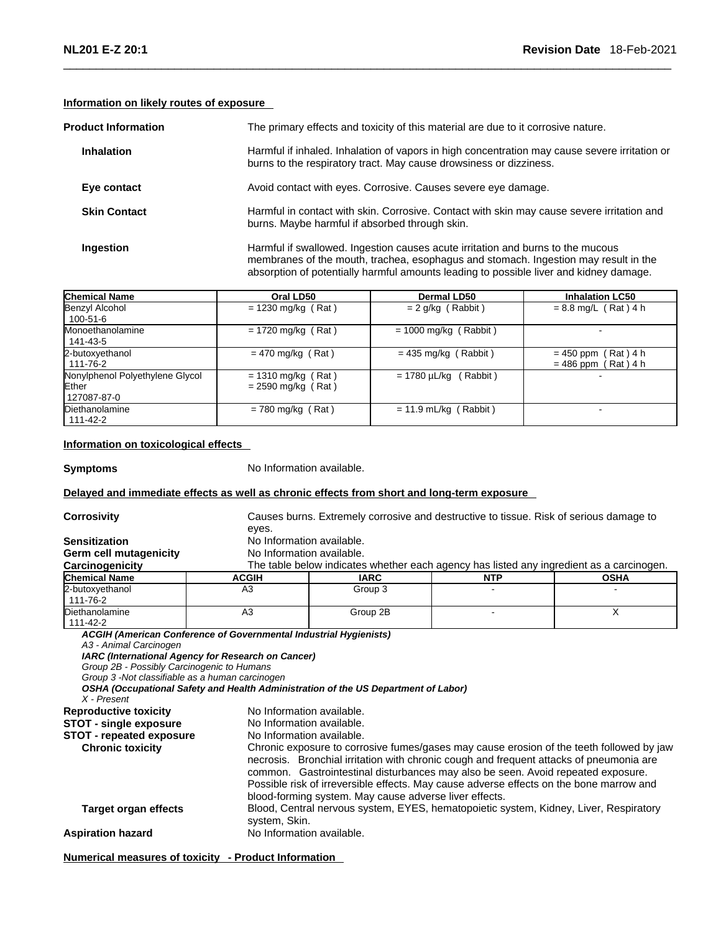# **Information on likely routes of exposure**

| <b>Product Information</b> | The primary effects and toxicity of this material are due to it corrosive nature.                                                                                                                                                                                |
|----------------------------|------------------------------------------------------------------------------------------------------------------------------------------------------------------------------------------------------------------------------------------------------------------|
| <b>Inhalation</b>          | Harmful if inhaled. Inhalation of vapors in high concentration may cause severe irritation or<br>burns to the respiratory tract. May cause drowsiness or dizziness.                                                                                              |
| Eye contact                | Avoid contact with eyes. Corrosive. Causes severe eye damage.                                                                                                                                                                                                    |
| <b>Skin Contact</b>        | Harmful in contact with skin. Corrosive. Contact with skin may cause severe irritation and<br>burns. Maybe harmful if absorbed through skin.                                                                                                                     |
| Ingestion                  | Harmful if swallowed. Ingestion causes acute irritation and burns to the mucous<br>membranes of the mouth, trachea, esophagus and stomach. Ingestion may result in the<br>absorption of potentially harmful amounts leading to possible liver and kidney damage. |

| <b>Chemical Name</b>                                    | Oral LD50                                    | Dermal LD50                | <b>Inhalation LC50</b>                         |
|---------------------------------------------------------|----------------------------------------------|----------------------------|------------------------------------------------|
| Benzyl Alcohol<br>100-51-6                              | $= 1230$ mg/kg (Rat)                         | $= 2$ g/kg (Rabbit)        | $= 8.8$ mg/L (Rat) 4 h                         |
| <b>Monoethanolamine</b><br>141-43-5                     | $= 1720$ mg/kg (Rat)                         | $= 1000$ mg/kg (Rabbit)    | -                                              |
| 2-butoxyethanol<br>111-76-2                             | $= 470$ mg/kg (Rat)                          | $= 435$ mg/kg (Rabbit)     | $= 450$ ppm (Rat) 4 h<br>$= 486$ ppm (Rat) 4 h |
| Nonylphenol Polyethylene Glycol<br>Ether<br>127087-87-0 | $= 1310$ mg/kg (Rat)<br>$= 2590$ mg/kg (Rat) | $= 1780 \mu L/kg$ (Rabbit) |                                                |
| Diethanolamine<br>111-42-2                              | $= 780$ mg/kg (Rat)                          | $= 11.9$ mL/kg (Rabbit)    | $\sim$                                         |

# **Information on toxicological effects**

**Symptoms** No Information available.

# **Delayed and immediate effects as well as chronic effects from short and long-term exposure**

| <b>Corrosivity</b>                                                                                                                                                                                                                           | Causes burns. Extremely corrosive and destructive to tissue. Risk of serious damage to                                                    |                                                                                                                                                                                                                                                                                                                                                                                                                                                                                                                    |            |             |  |  |
|----------------------------------------------------------------------------------------------------------------------------------------------------------------------------------------------------------------------------------------------|-------------------------------------------------------------------------------------------------------------------------------------------|--------------------------------------------------------------------------------------------------------------------------------------------------------------------------------------------------------------------------------------------------------------------------------------------------------------------------------------------------------------------------------------------------------------------------------------------------------------------------------------------------------------------|------------|-------------|--|--|
| <b>Sensitization</b><br>Germ cell mutagenicity<br>Carcinogenicity                                                                                                                                                                            |                                                                                                                                           | eyes.<br>No Information available.<br>No Information available.<br>The table below indicates whether each agency has listed any ingredient as a carcinogen.                                                                                                                                                                                                                                                                                                                                                        |            |             |  |  |
| <b>Chemical Name</b>                                                                                                                                                                                                                         | <b>ACGIH</b>                                                                                                                              | <b>IARC</b>                                                                                                                                                                                                                                                                                                                                                                                                                                                                                                        | <b>NTP</b> | <b>OSHA</b> |  |  |
| 2-butoxyethanol<br>111-76-2                                                                                                                                                                                                                  | A <sub>3</sub>                                                                                                                            | Group 3                                                                                                                                                                                                                                                                                                                                                                                                                                                                                                            |            |             |  |  |
| Diethanolamine<br>111-42-2                                                                                                                                                                                                                   | A <sub>3</sub>                                                                                                                            | Group 2B                                                                                                                                                                                                                                                                                                                                                                                                                                                                                                           |            | X           |  |  |
| Group 2B - Possibly Carcinogenic to Humans<br>Group 3 - Not classifiable as a human carcinogen<br>X - Present<br><b>Reproductive toxicity</b><br><b>STOT - single exposure</b><br><b>STOT - repeated exposure</b><br><b>Chronic toxicity</b> | IARC (International Agency for Research on Cancer)<br>No Information available.<br>No Information available.<br>No Information available. | OSHA (Occupational Safety and Health Administration of the US Department of Labor)<br>Chronic exposure to corrosive fumes/gases may cause erosion of the teeth followed by jaw<br>necrosis. Bronchial irritation with chronic cough and frequent attacks of pneumonia are<br>common. Gastrointestinal disturbances may also be seen. Avoid repeated exposure.<br>Possible risk of irreversible effects. May cause adverse effects on the bone marrow and<br>blood-forming system. May cause adverse liver effects. |            |             |  |  |
| <b>Target organ effects</b>                                                                                                                                                                                                                  | system, Skin.                                                                                                                             | Blood, Central nervous system, EYES, hematopoietic system, Kidney, Liver, Respiratory                                                                                                                                                                                                                                                                                                                                                                                                                              |            |             |  |  |
| <b>Aspiration hazard</b>                                                                                                                                                                                                                     | No Information available.                                                                                                                 |                                                                                                                                                                                                                                                                                                                                                                                                                                                                                                                    |            |             |  |  |

**Numerical measures of toxicity - Product Information**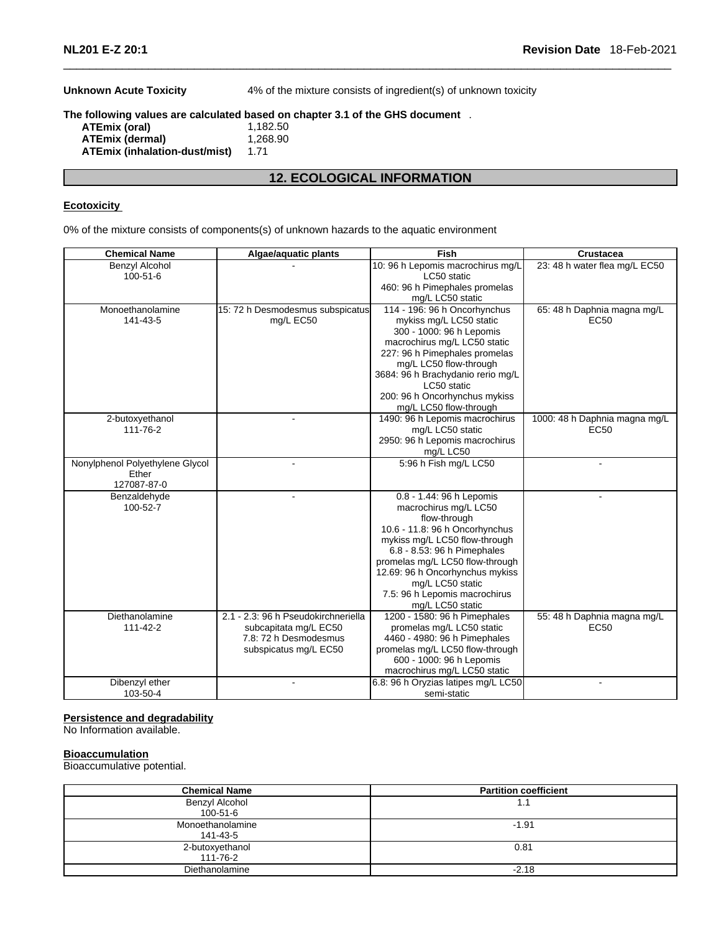**Unknown Acute Toxicity** 4% of the mixture consists of ingredient(s) of unknown toxicity

# **The following values are calculated based on chapter 3.1 of the GHS document** .

| ATEmix (oral)                        | 1.182.50 |
|--------------------------------------|----------|
| ATEmix (dermal)                      | 1.268.90 |
| <b>ATEmix (inhalation-dust/mist)</b> | 1.71     |

# **12. ECOLOGICAL INFORMATION**

### **Ecotoxicity**

0% of the mixture consists of components(s) of unknown hazards to the aquatic environment

| <b>Chemical Name</b>            | Algae/aquatic plants                | <b>Fish</b>                         | <b>Crustacea</b>              |
|---------------------------------|-------------------------------------|-------------------------------------|-------------------------------|
| <b>Benzyl Alcohol</b>           |                                     | 10: 96 h Lepomis macrochirus mg/L   | 23: 48 h water flea mg/L EC50 |
| 100-51-6                        |                                     | LC50 static                         |                               |
|                                 |                                     | 460: 96 h Pimephales promelas       |                               |
|                                 |                                     | mg/L LC50 static                    |                               |
| Monoethanolamine                | 15: 72 h Desmodesmus subspicatus    | 114 - 196: 96 h Oncorhynchus        | 65: 48 h Daphnia magna mg/L   |
| 141-43-5                        | mg/L EC50                           | mykiss mg/L LC50 static             | <b>EC50</b>                   |
|                                 |                                     | 300 - 1000: 96 h Lepomis            |                               |
|                                 |                                     | macrochirus mg/L LC50 static        |                               |
|                                 |                                     | 227: 96 h Pimephales promelas       |                               |
|                                 |                                     | mg/L LC50 flow-through              |                               |
|                                 |                                     | 3684: 96 h Brachydanio rerio mg/L   |                               |
|                                 |                                     | LC50 static                         |                               |
|                                 |                                     | 200: 96 h Oncorhynchus mykiss       |                               |
|                                 |                                     | mg/L LC50 flow-through              |                               |
| 2-butoxyethanol                 |                                     | 1490: 96 h Lepomis macrochirus      | 1000: 48 h Daphnia magna mg/L |
| 111-76-2                        |                                     | mg/L LC50 static                    | EC <sub>50</sub>              |
|                                 |                                     | 2950: 96 h Lepomis macrochirus      |                               |
|                                 |                                     | mg/L LC50                           |                               |
| Nonylphenol Polyethylene Glycol |                                     | 5:96 h Fish mg/L LC50               | $\mathbf{r}$                  |
| Ether                           |                                     |                                     |                               |
| 127087-87-0                     |                                     |                                     |                               |
| Benzaldehyde                    | $\blacksquare$                      | 0.8 - 1.44: 96 h Lepomis            | $\overline{a}$                |
| 100-52-7                        |                                     | macrochirus mg/L LC50               |                               |
|                                 |                                     | flow-through                        |                               |
|                                 |                                     | 10.6 - 11.8: 96 h Oncorhynchus      |                               |
|                                 |                                     | mykiss mg/L LC50 flow-through       |                               |
|                                 |                                     | 6.8 - 8.53: 96 h Pimephales         |                               |
|                                 |                                     | promelas mg/L LC50 flow-through     |                               |
|                                 |                                     | 12.69: 96 h Oncorhynchus mykiss     |                               |
|                                 |                                     | mg/L LC50 static                    |                               |
|                                 |                                     | 7.5: 96 h Lepomis macrochirus       |                               |
|                                 |                                     | mg/L LC50 static                    |                               |
| Diethanolamine                  | 2.1 - 2.3: 96 h Pseudokirchneriella | 1200 - 1580: 96 h Pimephales        | 55: 48 h Daphnia magna mg/L   |
| $111 - 42 - 2$                  | subcapitata mg/L EC50               | promelas mg/L LC50 static           | <b>EC50</b>                   |
|                                 | 7.8: 72 h Desmodesmus               | 4460 - 4980: 96 h Pimephales        |                               |
|                                 | subspicatus mg/L EC50               | promelas mg/L LC50 flow-through     |                               |
|                                 |                                     | 600 - 1000: 96 h Lepomis            |                               |
|                                 |                                     | macrochirus mg/L LC50 static        |                               |
| Dibenzyl ether                  |                                     | 6.8: 96 h Oryzias latipes mg/L LC50 |                               |
| 103-50-4                        |                                     | semi-static                         |                               |

#### **Persistence and degradability**

No Information available.

# **Bioaccumulation**

Bioaccumulative potential.

| <b>Chemical Name</b> | <b>Partition coefficient</b> |
|----------------------|------------------------------|
| Benzyl Alcohol       | 1.1                          |
| $100 - 51 - 6$       |                              |
| Monoethanolamine     | $-1.91$                      |
| 141-43-5             |                              |
| 2-butoxyethanol      | 0.81                         |
| 111-76-2             |                              |
| Diethanolamine       | $-2.18$                      |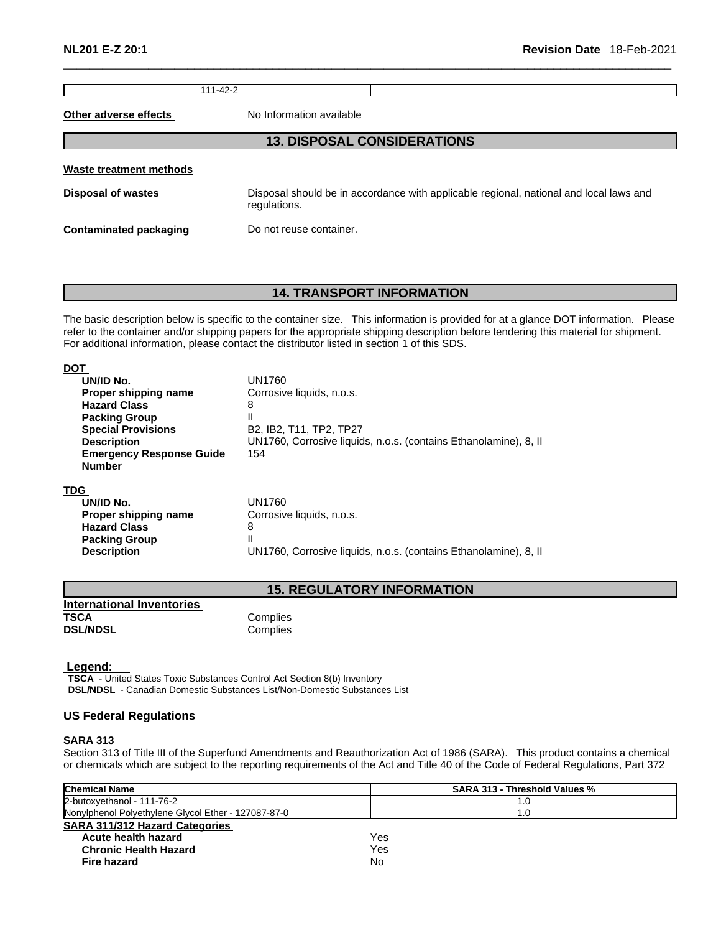111-42-2

**Other adverse effects** No Information available

# **13. DISPOSAL CONSIDERATIONS**

**Waste treatment methods**

**Disposal of wastes** Disposal should be in accordance with applicable regional, national and local laws and regulations.

**Contaminated packaging Do not reuse container.** 

# **14. TRANSPORT INFORMATION**

The basic description below is specific to the container size. This information is provided for at a glance DOT information. Please refer to the container and/or shipping papers for the appropriate shipping description before tendering this material for shipment. For additional information, please contact the distributor listed in section 1 of this SDS.

| DOT                             |                                                                                         |
|---------------------------------|-----------------------------------------------------------------------------------------|
| UN/ID No.                       | UN1760                                                                                  |
| Proper shipping name            | Corrosive liquids, n.o.s.                                                               |
| <b>Hazard Class</b>             | 8                                                                                       |
| <b>Packing Group</b>            | II                                                                                      |
| <b>Special Provisions</b>       | B <sub>2</sub> , IB <sub>2</sub> , T <sub>11</sub> , TP <sub>2</sub> , TP <sub>27</sub> |
| <b>Description</b>              | UN1760, Corrosive liquids, n.o.s. (contains Ethanolamine), 8, II                        |
| <b>Emergency Response Guide</b> | 154                                                                                     |
| <b>Number</b>                   |                                                                                         |
| TDG                             |                                                                                         |
| UN/ID No.                       | UN1760                                                                                  |
| Proper shipping name            | Corrosive liquids, n.o.s.                                                               |
| <b>Hazard Class</b>             | 8                                                                                       |
| <b>Packing Group</b>            | Н                                                                                       |
| <b>Description</b>              | UN1760, Corrosive liquids, n.o.s. (contains Ethanolamine), 8, II                        |

# **15. REGULATORY INFORMATION**

| International Inventories |          |
|---------------------------|----------|
| TSCA                      | Complies |
| <b>DSL/NDSL</b>           | Complies |

 **Legend:** 

**TSCA** - United States Toxic Substances Control Act Section 8(b) Inventory **DSL/NDSL** - Canadian Domestic Substances List/Non-Domestic Substances List

# **US Federal Regulations**

#### **SARA 313**

Section 313 of Title III of the Superfund Amendments and Reauthorization Act of 1986 (SARA). This product contains a chemical or chemicals which are subject to the reporting requirements of the Act and Title 40 of the Code of Federal Regulations, Part 372

| <b>Chemical Name</b>                                | <b>SARA 313 - Threshold Values %</b> |
|-----------------------------------------------------|--------------------------------------|
| 2-butoxvethanol - 111-76-2                          | 1.0                                  |
| Nonylphenol Polyethylene Glycol Ether - 127087-87-0 | 1.0                                  |
| <b>SARA 311/312 Hazard Categories</b>               |                                      |
| Acute health hazard                                 | Yes                                  |
| <b>Chronic Health Hazard</b>                        | Yes                                  |
| Fire hazard                                         | No                                   |